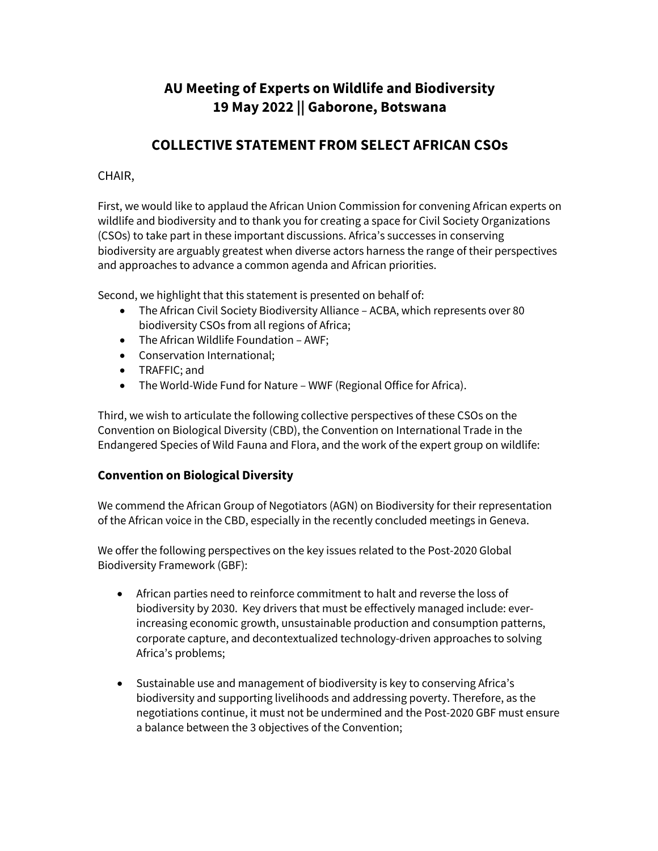# **AU Meeting of Experts on Wildlife and Biodiversity 19 May 2022 || Gaborone, Botswana**

# **COLLECTIVE STATEMENT FROM SELECT AFRICAN CSOs**

# CHAIR,

First, we would like to applaud the African Union Commission for convening African experts on wildlife and biodiversity and to thank you for creating a space for Civil Society Organizations (CSOs) to take part in these important discussions. Africa's successes in conserving biodiversity are arguably greatest when diverse actors harness the range of their perspectives and approaches to advance a common agenda and African priorities.

Second, we highlight that this statement is presented on behalf of:

- The African Civil Society Biodiversity Alliance ACBA, which represents over 80 biodiversity CSOs from all regions of Africa;
- The African Wildlife Foundation AWF;
- Conservation International;
- TRAFFIC; and
- The World-Wide Fund for Nature WWF (Regional Office for Africa).

Third, we wish to articulate the following collective perspectives of these CSOs on the Convention on Biological Diversity (CBD), the Convention on International Trade in the Endangered Species of Wild Fauna and Flora, and the work of the expert group on wildlife:

## **Convention on Biological Diversity**

We commend the African Group of Negotiators (AGN) on Biodiversity for their representation of the African voice in the CBD, especially in the recently concluded meetings in Geneva.

We offer the following perspectives on the key issues related to the Post-2020 Global Biodiversity Framework (GBF):

- African parties need to reinforce commitment to halt and reverse the loss of biodiversity by 2030. Key drivers that must be effectively managed include: everincreasing economic growth, unsustainable production and consumption patterns, corporate capture, and decontextualized technology-driven approaches to solving Africa's problems;
- Sustainable use and management of biodiversity is key to conserving Africa's biodiversity and supporting livelihoods and addressing poverty. Therefore, as the negotiations continue, it must not be undermined and the Post-2020 GBF must ensure a balance between the 3 objectives of the Convention;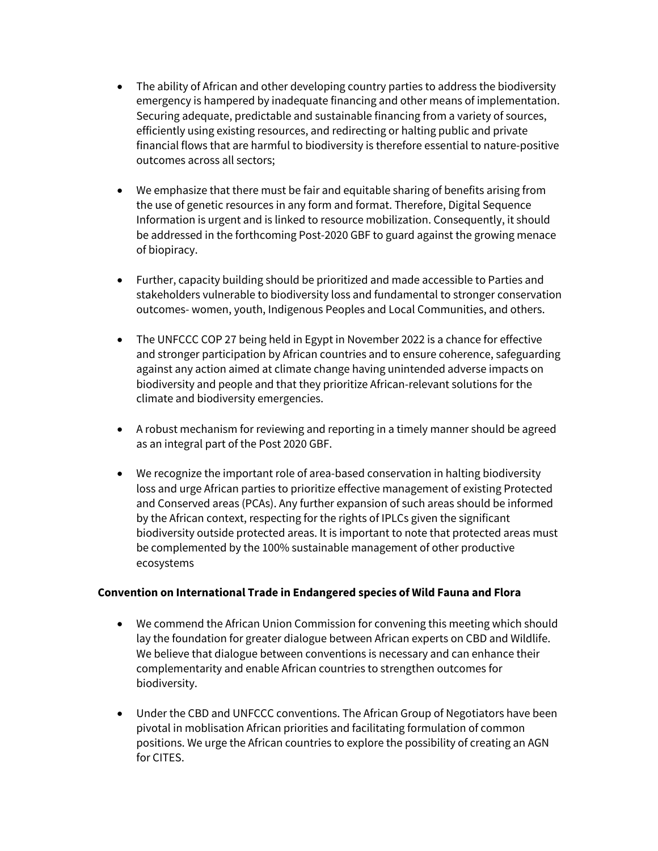- The ability of African and other developing country parties to address the biodiversity emergency is hampered by inadequate financing and other means of implementation. Securing adequate, predictable and sustainable financing from a variety of sources, efficiently using existing resources, and redirecting or halting public and private financial flows that are harmful to biodiversity is therefore essential to nature-positive outcomes across all sectors;
- We emphasize that there must be fair and equitable sharing of benefits arising from the use of genetic resources in any form and format. Therefore, Digital Sequence Information is urgent and is linked to resource mobilization. Consequently, it should be addressed in the forthcoming Post-2020 GBF to guard against the growing menace of biopiracy.
- Further, capacity building should be prioritized and made accessible to Parties and stakeholders vulnerable to biodiversity loss and fundamental to stronger conservation outcomes- women, youth, Indigenous Peoples and Local Communities, and others.
- The UNFCCC COP 27 being held in Egypt in November 2022 is a chance for effective and stronger participation by African countries and to ensure coherence, safeguarding against any action aimed at climate change having unintended adverse impacts on biodiversity and people and that they prioritize African-relevant solutions for the climate and biodiversity emergencies.
- A robust mechanism for reviewing and reporting in a timely manner should be agreed as an integral part of the Post 2020 GBF.
- We recognize the important role of area-based conservation in halting biodiversity loss and urge African parties to prioritize effective management of existing Protected and Conserved areas (PCAs). Any further expansion of such areas should be informed by the African context, respecting for the rights of IPLCs given the significant biodiversity outside protected areas. It is important to note that protected areas must be complemented by the 100% sustainable management of other productive ecosystems

#### **Convention on International Trade in Endangered species of Wild Fauna and Flora**

- We commend the African Union Commission for convening this meeting which should lay the foundation for greater dialogue between African experts on CBD and Wildlife. We believe that dialogue between conventions is necessary and can enhance their complementarity and enable African countries to strengthen outcomes for biodiversity.
- Under the CBD and UNFCCC conventions. The African Group of Negotiators have been pivotal in moblisation African priorities and facilitating formulation of common positions. We urge the African countries to explore the possibility of creating an AGN for CITES.